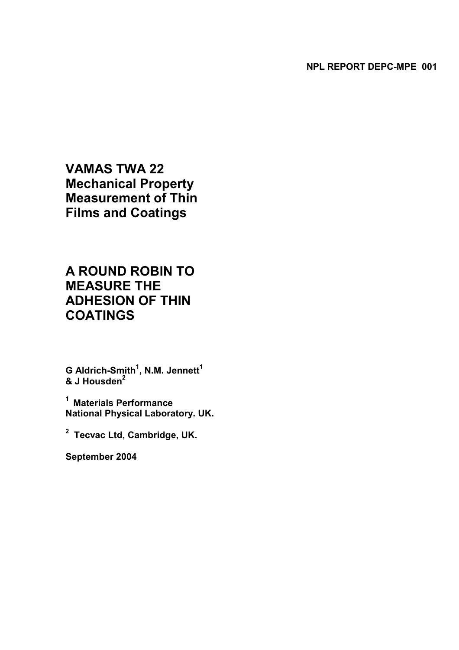**VAMAS TWA 22 Mechanical Property Measurement of Thin Films and Coatings** 

# **A ROUND ROBIN TO MEASURE THE ADHESION OF THIN COATINGS**

 $\mathbf G$  Aldrich-Smith<sup>1</sup>, N.M. Jennett<sup>1</sup> **& J Housden2**

**1 Materials Performance National Physical Laboratory. UK.** 

**2 Tecvac Ltd, Cambridge, UK.** 

**September 2004**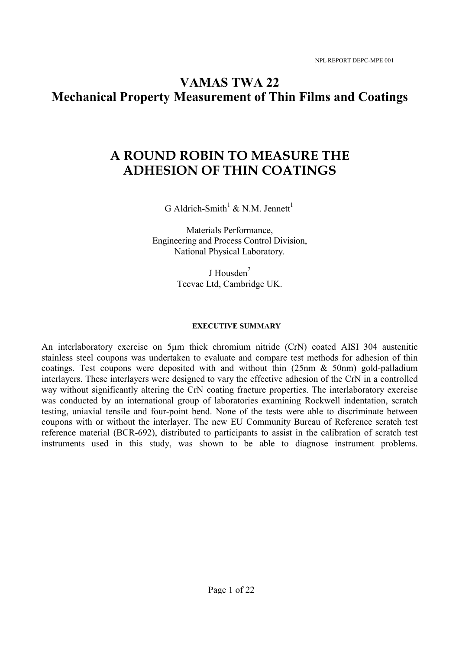# **VAMAS TWA 22 Mechanical Property Measurement of Thin Films and Coatings**

# **A ROUND ROBIN TO MEASURE THE ADHESION OF THIN COATINGS**

G Aldrich-Smith<sup>1</sup> & N.M. Jennett<sup>1</sup>

Materials Performance, Engineering and Process Control Division, National Physical Laboratory.

> J Housden $2$ Tecvac Ltd, Cambridge UK.

### **EXECUTIVE SUMMARY**

An interlaboratory exercise on 5µm thick chromium nitride (CrN) coated AISI 304 austenitic stainless steel coupons was undertaken to evaluate and compare test methods for adhesion of thin coatings. Test coupons were deposited with and without thin (25nm & 50nm) gold-palladium interlayers. These interlayers were designed to vary the effective adhesion of the CrN in a controlled way without significantly altering the CrN coating fracture properties. The interlaboratory exercise was conducted by an international group of laboratories examining Rockwell indentation, scratch testing, uniaxial tensile and four-point bend. None of the tests were able to discriminate between coupons with or without the interlayer. The new EU Community Bureau of Reference scratch test reference material (BCR-692), distributed to participants to assist in the calibration of scratch test instruments used in this study, was shown to be able to diagnose instrument problems.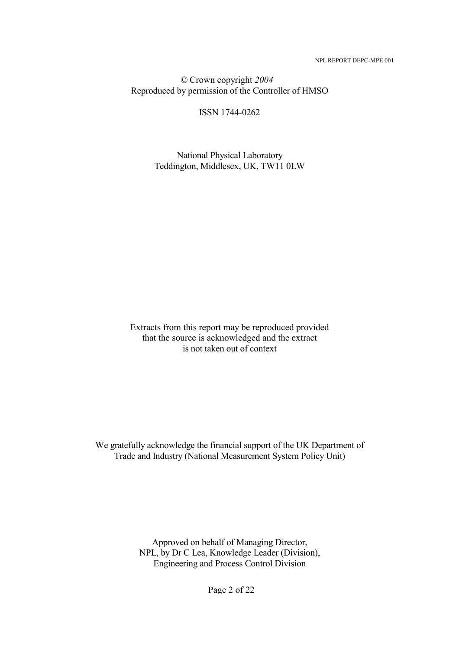*©* Crown copyright *2004*  Reproduced by permission of the Controller of HMSO

ISSN 1744-0262

National Physical Laboratory Teddington, Middlesex, UK, TW11 0LW

Extracts from this report may be reproduced provided that the source is acknowledged and the extract is not taken out of context

We gratefully acknowledge the financial support of the UK Department of Trade and Industry (National Measurement System Policy Unit)

> Approved on behalf of Managing Director, NPL, by Dr C Lea, Knowledge Leader (Division), Engineering and Process Control Division

> > Page 2 of 22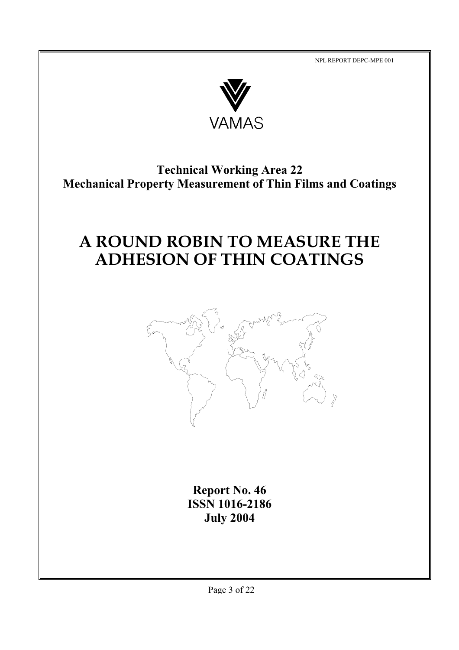

# **Technical Working Area 22 Mechanical Property Measurement of Thin Films and Coatings**

# **A ROUND ROBIN TO MEASURE THE ADHESION OF THIN COATINGS**



**Report No. 46 ISSN 1016-2186 July 2004**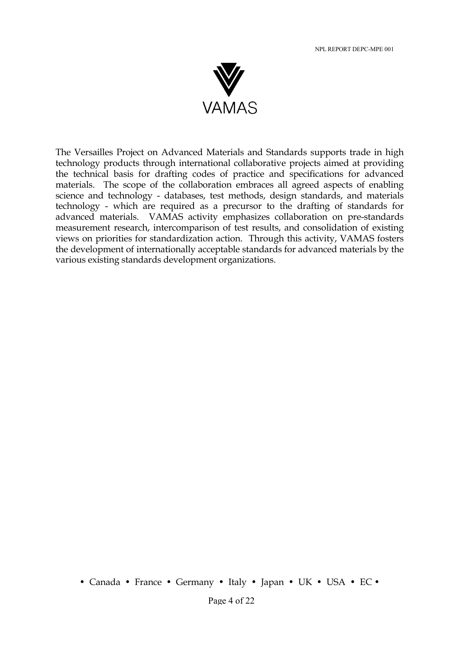

The Versailles Project on Advanced Materials and Standards supports trade in high technology products through international collaborative projects aimed at providing the technical basis for drafting codes of practice and specifications for advanced materials. The scope of the collaboration embraces all agreed aspects of enabling science and technology - databases, test methods, design standards, and materials technology - which are required as a precursor to the drafting of standards for advanced materials. VAMAS activity emphasizes collaboration on pre-standards measurement research, intercomparison of test results, and consolidation of existing views on priorities for standardization action. Through this activity, VAMAS fosters the development of internationally acceptable standards for advanced materials by the various existing standards development organizations.

• Canada • France • Germany • Italy • Japan • UK • USA • EC •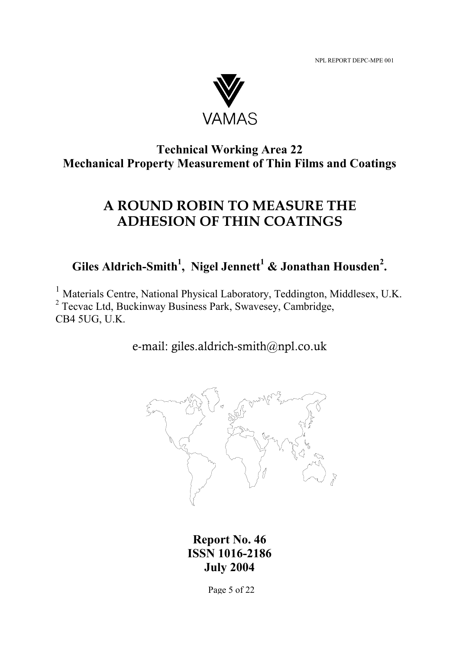

# **Technical Working Area 22 Mechanical Property Measurement of Thin Films and Coatings**

# **A ROUND ROBIN TO MEASURE THE ADHESION OF THIN COATINGS**

**Giles Aldrich-Smith<sup>1</sup>, Nigel Jennett<sup>1</sup> & Jonathan Housden<sup>2</sup>.** 

 $^{1}$  Materials Centre, National Physical Laboratory, Teddington, Middlesex, U.K. <sup>2</sup> Tecvac Ltd, Buckinway Business Park, Swavesey, Cambridge, CB4 5UG, U.K.

e-mail: giles.aldrich-smith@npl.co.uk



**Report No. 46 ISSN 1016-2186 July 2004**

Page 5 of 22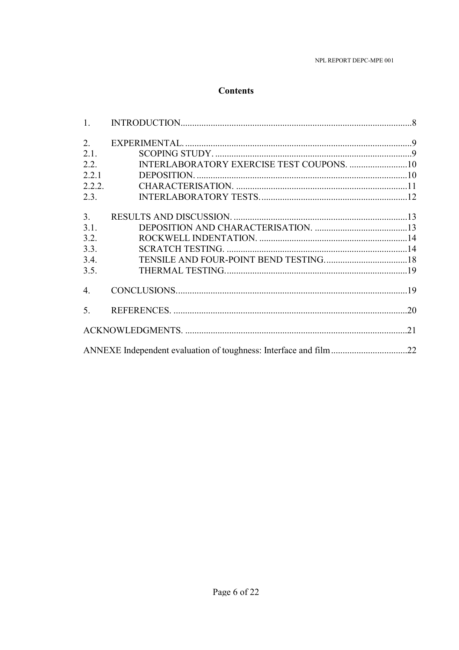# **Contents**

| 1.             |                                                                  |  |
|----------------|------------------------------------------------------------------|--|
| 2 <sub>1</sub> |                                                                  |  |
| 2.1.           |                                                                  |  |
| 2.2.           |                                                                  |  |
| 2.2.1          |                                                                  |  |
| 2.2.2.         |                                                                  |  |
| 2.3.           |                                                                  |  |
| 3 <sub>1</sub> |                                                                  |  |
| 3.1.           |                                                                  |  |
| 3.2.           |                                                                  |  |
| 3.3.           |                                                                  |  |
| 3.4.           |                                                                  |  |
| 3.5.           |                                                                  |  |
| 4.             |                                                                  |  |
| 5.             |                                                                  |  |
|                |                                                                  |  |
|                | ANNEXE Independent evaluation of toughness: Interface and film22 |  |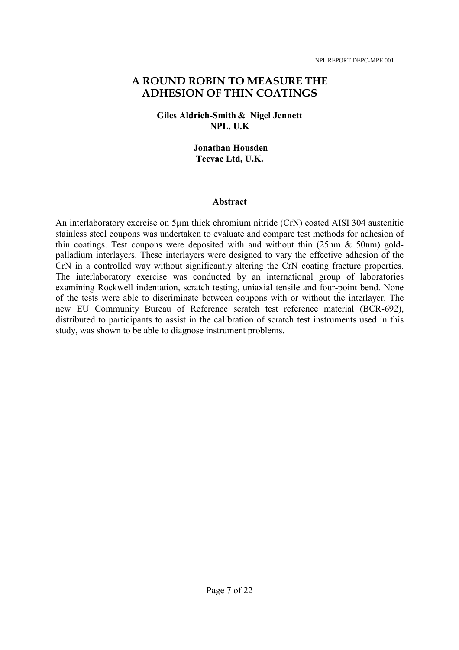# **A ROUND ROBIN TO MEASURE THE ADHESION OF THIN COATINGS**

### **Giles Aldrich-Smith & Nigel Jennett NPL, U.K**

### **Jonathan Housden Tecvac Ltd, U.K.**

#### **Abstract**

An interlaboratory exercise on 5µm thick chromium nitride (CrN) coated AISI 304 austenitic stainless steel coupons was undertaken to evaluate and compare test methods for adhesion of thin coatings. Test coupons were deposited with and without thin  $(25nm \& 50nm)$  goldpalladium interlayers. These interlayers were designed to vary the effective adhesion of the CrN in a controlled way without significantly altering the CrN coating fracture properties. The interlaboratory exercise was conducted by an international group of laboratories examining Rockwell indentation, scratch testing, uniaxial tensile and four-point bend. None of the tests were able to discriminate between coupons with or without the interlayer. The new EU Community Bureau of Reference scratch test reference material (BCR-692), distributed to participants to assist in the calibration of scratch test instruments used in this study, was shown to be able to diagnose instrument problems.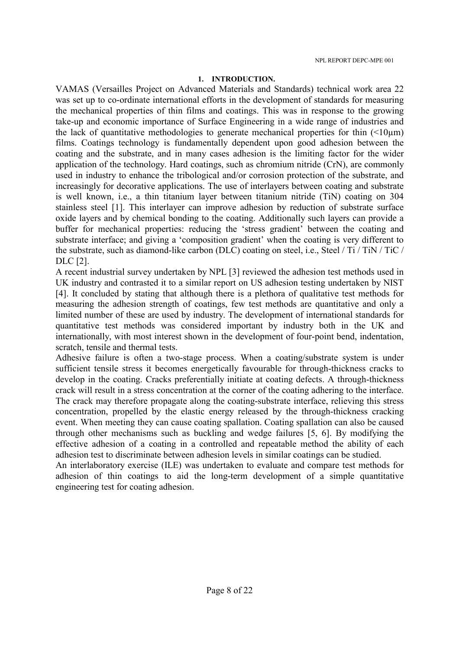### **1. INTRODUCTION.**

VAMAS (Versailles Project on Advanced Materials and Standards) technical work area 22 was set up to co-ordinate international efforts in the development of standards for measuring the mechanical properties of thin films and coatings. This was in response to the growing take-up and economic importance of Surface Engineering in a wide range of industries and the lack of quantitative methodologies to generate mechanical properties for thin  $\left($  <10um) films. Coatings technology is fundamentally dependent upon good adhesion between the coating and the substrate, and in many cases adhesion is the limiting factor for the wider application of the technology. Hard coatings, such as chromium nitride (CrN), are commonly used in industry to enhance the tribological and/or corrosion protection of the substrate, and increasingly for decorative applications. The use of interlayers between coating and substrate is well known, i.e., a thin titanium layer between titanium nitride (TiN) coating on 304 stainless steel [1]. This interlayer can improve adhesion by reduction of substrate surface oxide layers and by chemical bonding to the coating. Additionally such layers can provide a buffer for mechanical properties: reducing the 'stress gradient' between the coating and substrate interface; and giving a 'composition gradient' when the coating is very different to the substrate, such as diamond-like carbon (DLC) coating on steel, i.e., Steel / Ti / TiN / TiC / DLC [2].

A recent industrial survey undertaken by NPL [3] reviewed the adhesion test methods used in UK industry and contrasted it to a similar report on US adhesion testing undertaken by NIST [4]. It concluded by stating that although there is a plethora of qualitative test methods for measuring the adhesion strength of coatings, few test methods are quantitative and only a limited number of these are used by industry. The development of international standards for quantitative test methods was considered important by industry both in the UK and internationally, with most interest shown in the development of four-point bend, indentation, scratch, tensile and thermal tests.

Adhesive failure is often a two-stage process. When a coating/substrate system is under sufficient tensile stress it becomes energetically favourable for through-thickness cracks to develop in the coating. Cracks preferentially initiate at coating defects. A through-thickness crack will result in a stress concentration at the corner of the coating adhering to the interface. The crack may therefore propagate along the coating-substrate interface, relieving this stress concentration, propelled by the elastic energy released by the through-thickness cracking event. When meeting they can cause coating spallation. Coating spallation can also be caused through other mechanisms such as buckling and wedge failures [5, 6]. By modifying the effective adhesion of a coating in a controlled and repeatable method the ability of each adhesion test to discriminate between adhesion levels in similar coatings can be studied.

An interlaboratory exercise (ILE) was undertaken to evaluate and compare test methods for adhesion of thin coatings to aid the long-term development of a simple quantitative engineering test for coating adhesion.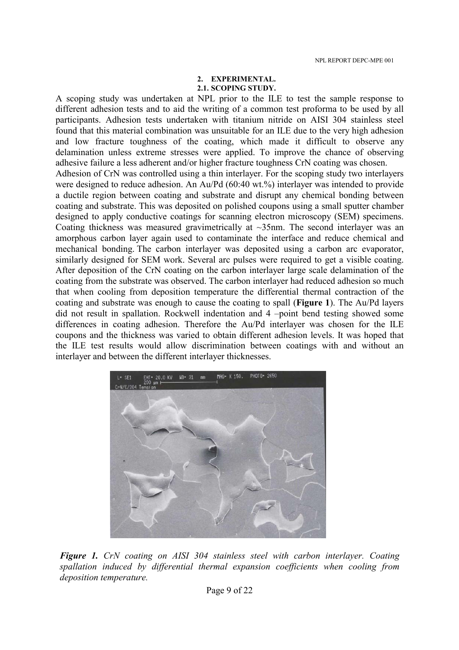#### **2. EXPERIMENTAL. 2.1. SCOPING STUDY.**

A scoping study was undertaken at NPL prior to the ILE to test the sample response to different adhesion tests and to aid the writing of a common test proforma to be used by all participants. Adhesion tests undertaken with titanium nitride on AISI 304 stainless steel found that this material combination was unsuitable for an ILE due to the very high adhesion and low fracture toughness of the coating, which made it difficult to observe any delamination unless extreme stresses were applied. To improve the chance of observing adhesive failure a less adherent and/or higher fracture toughness CrN coating was chosen. Adhesion of CrN was controlled using a thin interlayer. For the scoping study two interlayers were designed to reduce adhesion. An Au/Pd (60:40 wt.%) interlayer was intended to provide a ductile region between coating and substrate and disrupt any chemical bonding between coating and substrate. This was deposited on polished coupons using a small sputter chamber designed to apply conductive coatings for scanning electron microscopy (SEM) specimens. Coating thickness was measured gravimetrically at ~35nm. The second interlayer was an amorphous carbon layer again used to contaminate the interface and reduce chemical and mechanical bonding. The carbon interlayer was deposited using a carbon arc evaporator, similarly designed for SEM work. Several arc pulses were required to get a visible coating. After deposition of the CrN coating on the carbon interlayer large scale delamination of the coating from the substrate was observed. The carbon interlayer had reduced adhesion so much that when cooling from deposition temperature the differential thermal contraction of the coating and substrate was enough to cause the coating to spall (**Figure 1**). The Au/Pd layers did not result in spallation. Rockwell indentation and 4 –point bend testing showed some differences in coating adhesion. Therefore the Au/Pd interlayer was chosen for the ILE coupons and the thickness was varied to obtain different adhesion levels. It was hoped that the ILE test results would allow discrimination between coatings with and without an interlayer and between the different interlayer thicknesses.



*Figure 1. CrN coating on AISI 304 stainless steel with carbon interlayer. Coating spallation induced by differential thermal expansion coefficients when cooling from deposition temperature.*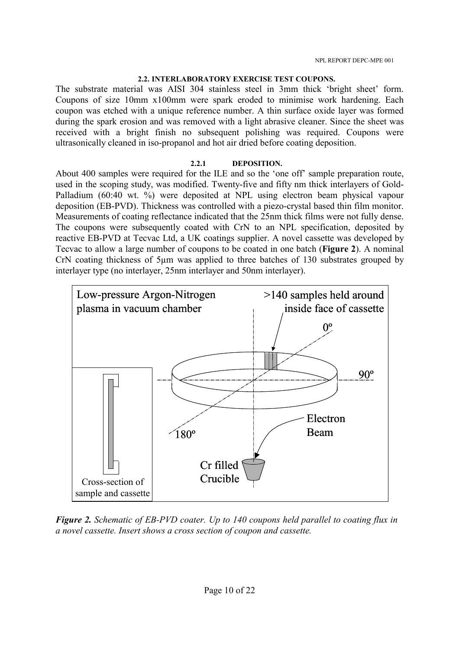### **2.2. INTERLABORATORY EXERCISE TEST COUPONS.**

The substrate material was AISI 304 stainless steel in 3mm thick 'bright sheet' form. Coupons of size 10mm x100mm were spark eroded to minimise work hardening. Each coupon was etched with a unique reference number. A thin surface oxide layer was formed during the spark erosion and was removed with a light abrasive cleaner. Since the sheet was received with a bright finish no subsequent polishing was required. Coupons were ultrasonically cleaned in iso-propanol and hot air dried before coating deposition.

# **2.2.1 DEPOSITION.**

About 400 samples were required for the ILE and so the 'one off' sample preparation route, used in the scoping study, was modified. Twenty-five and fifty nm thick interlayers of Gold-Palladium (60:40 wt. %) were deposited at NPL using electron beam physical vapour deposition (EB-PVD). Thickness was controlled with a piezo-crystal based thin film monitor. Measurements of coating reflectance indicated that the 25nm thick films were not fully dense. The coupons were subsequently coated with CrN to an NPL specification, deposited by reactive EB-PVD at Tecvac Ltd, a UK coatings supplier. A novel cassette was developed by Tecvac to allow a large number of coupons to be coated in one batch (**Figure 2**). A nominal CrN coating thickness of 5µm was applied to three batches of 130 substrates grouped by interlayer type (no interlayer, 25nm interlayer and 50nm interlayer).



*Figure 2. Schematic of EB-PVD coater. Up to 140 coupons held parallel to coating flux in a novel cassette. Insert shows a cross section of coupon and cassette.*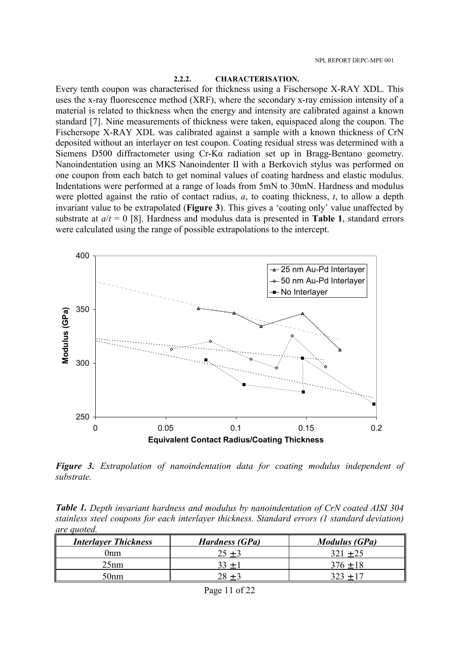#### **2.2.2. CHARACTERISATION.**

Every tenth coupon was characterised for thickness using a Fischersope X-RAY XDL. This uses the x-ray fluorescence method (XRF), where the secondary x-ray emission intensity of a material is related to thickness when the energy and intensity are calibrated against a known standard [7]. Nine measurements of thickness were taken, equispaced along the coupon. The Fischersope X-RAY XDL was calibrated against a sample with a known thickness of CrN deposited without an interlayer on test coupon. Coating residual stress was determined with a Siemens D500 diffractometer using Cr-Kα radiation set up in Bragg-Bentano geometry. Nanoindentation using an MKS Nanoindenter II with a Berkovich stylus was performed on one coupon from each batch to get nominal values of coating hardness and elastic modulus. Indentations were performed at a range of loads from 5mN to 30mN. Hardness and modulus were plotted against the ratio of contact radius, *a*, to coating thickness, *t*, to allow a depth invariant value to be extrapolated (**Figure 3**). This gives a 'coating only' value unaffected by substrate at *a*/*t* = 0 [8]. Hardness and modulus data is presented in **Table 1**, standard errors were calculated using the range of possible extrapolations to the intercept.



*Figure 3. Extrapolation of nanoindentation data for coating modulus independent of substrate.* 

*Table 1. Depth invariant hardness and modulus by nanoindentation of CrN coated AISI 304 stainless steel coupons for each interlayer thickness. Standard errors (1 standard deviation) are quoted.* 

| <b>Interlayer Thickness</b> | <b>Hardness (GPa)</b> | <i>Modulus (GPa)</i> |
|-----------------------------|-----------------------|----------------------|
| )nm                         | $25 + 3$              | $321 + 25$           |
| 25nm                        | $33 +$                | $376 + 18$           |
| 50nm                        |                       |                      |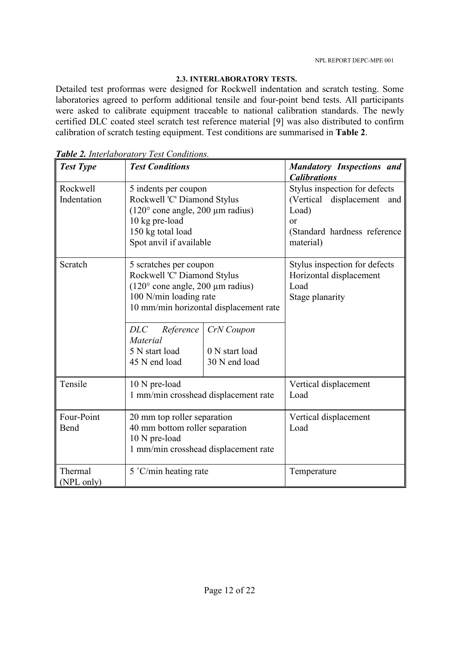# **2.3. INTERLABORATORY TESTS.**

Detailed test proformas were designed for Rockwell indentation and scratch testing. Some laboratories agreed to perform additional tensile and four-point bend tests. All participants were asked to calibrate equipment traceable to national calibration standards. The newly certified DLC coated steel scratch test reference material [9] was also distributed to confirm calibration of scratch testing equipment. Test conditions are summarised in **Table 2**.

| <b>Test Type</b>        | <b>Test Conditions</b>                                                                                                                                                                                                                                                                            | <b>Mandatory Inspections and</b><br><b>Calibrations</b>                                                                    |  |
|-------------------------|---------------------------------------------------------------------------------------------------------------------------------------------------------------------------------------------------------------------------------------------------------------------------------------------------|----------------------------------------------------------------------------------------------------------------------------|--|
| Rockwell<br>Indentation | 5 indents per coupon<br>Rockwell 'C' Diamond Stylus<br>$(120^{\circ}$ cone angle, 200 µm radius)<br>10 kg pre-load<br>150 kg total load<br>Spot anvil if available                                                                                                                                | Stylus inspection for defects<br>(Vertical displacement<br>and<br>Load)<br>or<br>(Standard hardness reference<br>material) |  |
| Scratch                 | 5 scratches per coupon<br>Rockwell 'C' Diamond Stylus<br>$(120^{\circ}$ cone angle, 200 µm radius)<br>100 N/min loading rate<br>10 mm/min horizontal displacement rate<br><b>DLC</b><br>CrN Coupon<br>Reference<br>Material<br>5 N start load<br>0 N start load<br>45 N end load<br>30 N end load | Stylus inspection for defects<br>Horizontal displacement<br>Load<br>Stage planarity                                        |  |
| Tensile                 | 10 N pre-load<br>1 mm/min crosshead displacement rate                                                                                                                                                                                                                                             | Vertical displacement<br>Load                                                                                              |  |
| Four-Point<br>Bend      | 20 mm top roller separation<br>40 mm bottom roller separation<br>10 N pre-load<br>1 mm/min crosshead displacement rate                                                                                                                                                                            | Vertical displacement<br>Load                                                                                              |  |
| Thermal<br>(NPL only)   | 5 °C/min heating rate                                                                                                                                                                                                                                                                             | Temperature                                                                                                                |  |

*Table 2. Interlaboratory Test Conditions.*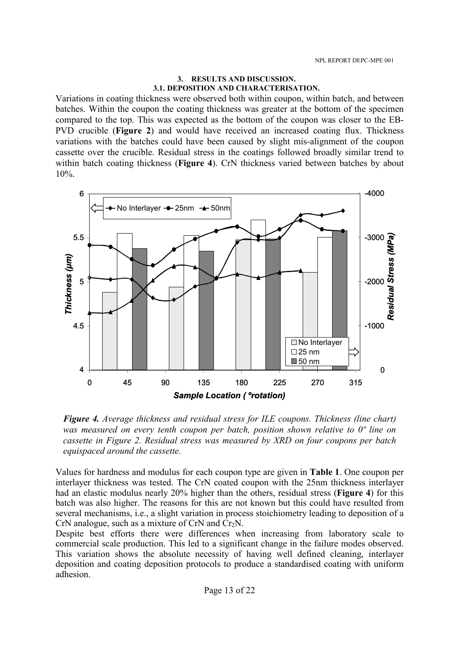#### **3. RESULTS AND DISCUSSION. 3.1. DEPOSITION AND CHARACTERISATION.**

Variations in coating thickness were observed both within coupon, within batch, and between batches. Within the coupon the coating thickness was greater at the bottom of the specimen compared to the top. This was expected as the bottom of the coupon was closer to the EB-PVD crucible (**Figure 2**) and would have received an increased coating flux. Thickness variations with the batches could have been caused by slight mis-alignment of the coupon cassette over the crucible. Residual stress in the coatings followed broadly similar trend to within batch coating thickness (**Figure 4**). CrN thickness varied between batches by about 10%.



*Figure 4. Average thickness and residual stress for ILE coupons. Thickness (line chart) was measured on every tenth coupon per batch, position shown relative to 0º line on cassette in Figure 2. Residual stress was measured by XRD on four coupons per batch equispaced around the cassette.* 

Values for hardness and modulus for each coupon type are given in **Table 1**. One coupon per interlayer thickness was tested. The CrN coated coupon with the 25nm thickness interlayer had an elastic modulus nearly 20% higher than the others, residual stress (**Figure 4**) for this batch was also higher. The reasons for this are not known but this could have resulted from several mechanisms, i.e., a slight variation in process stoichiometry leading to deposition of a CrN analogue, such as a mixture of CrN and  $Cr<sub>2</sub>N$ .

Despite best efforts there were differences when increasing from laboratory scale to commercial scale production. This led to a significant change in the failure modes observed. This variation shows the absolute necessity of having well defined cleaning, interlayer deposition and coating deposition protocols to produce a standardised coating with uniform adhesion.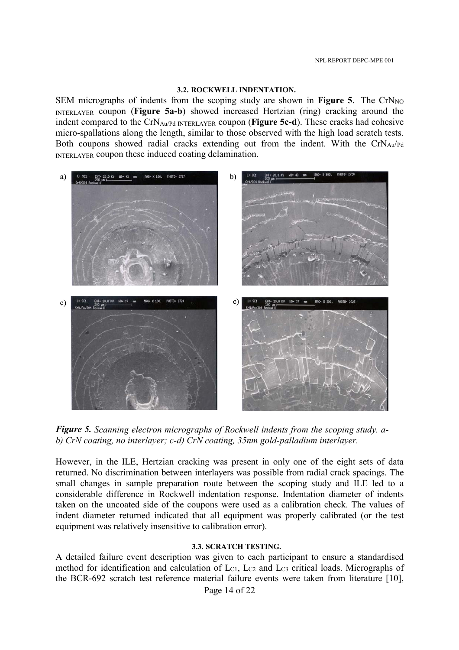#### **3.2. ROCKWELL INDENTATION.**

SEM micrographs of indents from the scoping study are shown in **Figure 5**. The  $CrN<sub>NO</sub>$ INTERLAYER coupon (**Figure 5a-b**) showed increased Hertzian (ring) cracking around the indent compared to the CrNAu/Pd INTERLAYER coupon (**Figure 5c-d**). These cracks had cohesive micro-spallations along the length, similar to those observed with the high load scratch tests. Both coupons showed radial cracks extending out from the indent. With the  $CrN_{Au}/Pd$ INTERLAYER coupon these induced coating delamination.



*Figure 5. Scanning electron micrographs of Rockwell indents from the scoping study. ab) CrN coating, no interlayer; c-d) CrN coating, 35nm gold-palladium interlayer.* 

However, in the ILE, Hertzian cracking was present in only one of the eight sets of data returned. No discrimination between interlayers was possible from radial crack spacings. The small changes in sample preparation route between the scoping study and ILE led to a considerable difference in Rockwell indentation response. Indentation diameter of indents taken on the uncoated side of the coupons were used as a calibration check. The values of indent diameter returned indicated that all equipment was properly calibrated (or the test equipment was relatively insensitive to calibration error).

#### **3.3. SCRATCH TESTING.**

A detailed failure event description was given to each participant to ensure a standardised method for identification and calculation of  $L_{C1}$ ,  $L_{C2}$  and  $L_{C3}$  critical loads. Micrographs of the BCR-692 scratch test reference material failure events were taken from literature [10],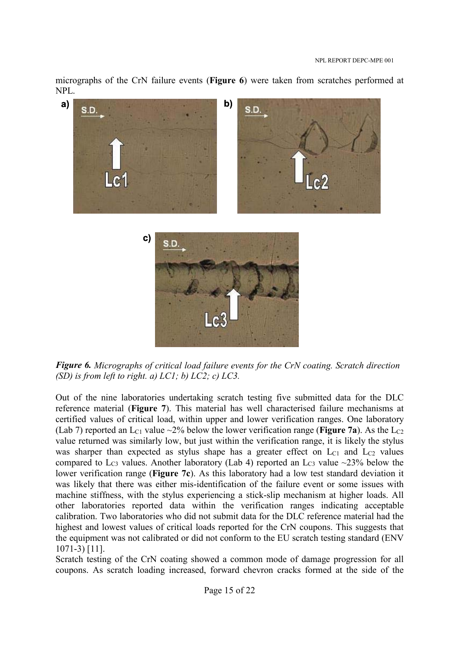micrographs of the CrN failure events (**Figure 6**) were taken from scratches performed at NPL.



*Figure 6. Micrographs of critical load failure events for the CrN coating. Scratch direction (SD) is from left to right. a) LC1; b) LC2; c) LC3.*

Out of the nine laboratories undertaking scratch testing five submitted data for the DLC reference material (**Figure 7**). This material has well characterised failure mechanisms at certified values of critical load, within upper and lower verification ranges. One laboratory (Lab 7) reported an  $L_{C1}$  value  $\sim$ 2% below the lower verification range (**Figure 7a**). As the  $L_{C2}$ value returned was similarly low, but just within the verification range, it is likely the stylus was sharper than expected as stylus shape has a greater effect on  $L_{C1}$  and  $L_{C2}$  values compared to  $L_{C3}$  values. Another laboratory (Lab 4) reported an  $L_{C3}$  value ~23% below the lower verification range (**Figure 7c**). As this laboratory had a low test standard deviation it was likely that there was either mis-identification of the failure event or some issues with machine stiffness, with the stylus experiencing a stick-slip mechanism at higher loads. All other laboratories reported data within the verification ranges indicating acceptable calibration. Two laboratories who did not submit data for the DLC reference material had the highest and lowest values of critical loads reported for the CrN coupons. This suggests that the equipment was not calibrated or did not conform to the EU scratch testing standard (ENV 1071-3) [11].

Scratch testing of the CrN coating showed a common mode of damage progression for all coupons. As scratch loading increased, forward chevron cracks formed at the side of the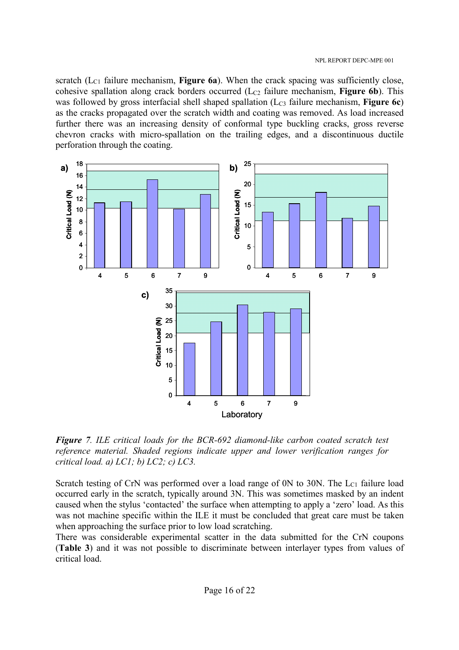scratch ( $L_{C1}$  failure mechanism, **Figure 6a**). When the crack spacing was sufficiently close, cohesive spallation along crack borders occurred (L<sub>C2</sub> failure mechanism, **Figure 6b**). This was followed by gross interfacial shell shaped spallation (L<sub>C3</sub> failure mechanism, **Figure 6c**) as the cracks propagated over the scratch width and coating was removed. As load increased further there was an increasing density of conformal type buckling cracks, gross reverse chevron cracks with micro-spallation on the trailing edges, and a discontinuous ductile perforation through the coating.



*Figure 7. ILE critical loads for the BCR-692 diamond-like carbon coated scratch test reference material. Shaded regions indicate upper and lower verification ranges for critical load. a) LC1; b) LC2; c) LC3.* 

Scratch testing of CrN was performed over a load range of  $0N$  to  $30N$ . The  $L_{C1}$  failure load occurred early in the scratch, typically around 3N. This was sometimes masked by an indent caused when the stylus 'contacted' the surface when attempting to apply a 'zero' load. As this was not machine specific within the ILE it must be concluded that great care must be taken when approaching the surface prior to low load scratching.

There was considerable experimental scatter in the data submitted for the CrN coupons (**Table 3**) and it was not possible to discriminate between interlayer types from values of critical load.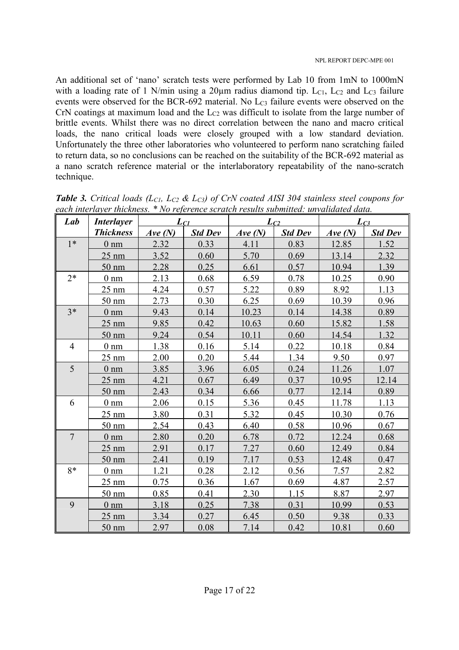An additional set of 'nano' scratch tests were performed by Lab 10 from 1mN to 1000mN with a loading rate of 1 N/min using a  $20\mu$ m radius diamond tip. L<sub>C1</sub>, L<sub>C2</sub> and L<sub>C3</sub> failure events were observed for the BCR-692 material. No L<sub>C3</sub> failure events were observed on the CrN coatings at maximum load and the Lc<sub>2</sub> was difficult to isolate from the large number of brittle events. Whilst there was no direct correlation between the nano and macro critical loads, the nano critical loads were closely grouped with a low standard deviation. Unfortunately the three other laboratories who volunteered to perform nano scratching failed to return data, so no conclusions can be reached on the suitability of the BCR-692 material as a nano scratch reference material or the interlaboratory repeatability of the nano-scratch technique.

| Lab            | <b>Interlayer</b>         | $L_{Cl}$ |                | $L_{C2}$ |                | $L_{C3}$ |                |
|----------------|---------------------------|----------|----------------|----------|----------------|----------|----------------|
|                | <b>Thickness</b>          | Ave(N)   | <b>Std Dev</b> | Ave(N)   | <b>Std Dev</b> | Ave(N)   | <b>Std Dev</b> |
| $1*$           | 0 <sub>nm</sub>           | 2.32     | 0.33           | 4.11     | 0.83           | 12.85    | 1.52           |
|                | $25 \text{ nm}$           | 3.52     | 0.60           | 5.70     | 0.69           | 13.14    | 2.32           |
|                | 50 nm                     | 2.28     | 0.25           | 6.61     | 0.57           | 10.94    | 1.39           |
| $2*$           | $0 \text{ nm}$            | 2.13     | 0.68           | 6.59     | 0.78           | 10.25    | 0.90           |
|                | $25 \text{ nm}$           | 4.24     | 0.57           | 5.22     | 0.89           | 8.92     | 1.13           |
|                | $50 \text{ nm}$           | 2.73     | 0.30           | 6.25     | 0.69           | 10.39    | 0.96           |
| $3*$           | $0 \text{ nm}$            | 9.43     | 0.14           | 10.23    | 0.14           | 14.38    | 0.89           |
|                | $25 \text{ nm}$           | 9.85     | 0.42           | 10.63    | 0.60           | 15.82    | 1.58           |
|                | 50 nm                     | 9.24     | 0.54           | 10.11    | 0.60           | 14.54    | 1.32           |
| $\overline{4}$ | $0 \underline{\text{nm}}$ | 1.38     | 0.16           | 5.14     | 0.22           | 10.18    | 0.84           |
|                | $25 \text{ nm}$           | 2.00     | 0.20           | 5.44     | 1.34           | 9.50     | 0.97           |
| 5              | 0 <sub>nm</sub>           | 3.85     | 3.96           | 6.05     | 0.24           | 11.26    | 1.07           |
|                | $25 \text{ nm}$           | 4.21     | 0.67           | 6.49     | 0.37           | 10.95    | 12.14          |
|                | $50 \text{ nm}$           | 2.43     | 0.34           | 6.66     | 0.77           | 12.14    | 0.89           |
| 6              | $0 \text{ nm}$            | 2.06     | 0.15           | 5.36     | 0.45           | 11.78    | 1.13           |
|                | $25 \text{ nm}$           | 3.80     | 0.31           | 5.32     | 0.45           | 10.30    | 0.76           |
|                | 50 nm                     | 2.54     | 0.43           | 6.40     | 0.58           | 10.96    | 0.67           |
| $\overline{7}$ | 0 <sub>nm</sub>           | 2.80     | 0.20           | 6.78     | 0.72           | 12.24    | 0.68           |
|                | $25 \text{ nm}$           | 2.91     | 0.17           | 7.27     | 0.60           | 12.49    | 0.84           |
|                | $50 \text{ nm}$           | 2.41     | 0.19           | 7.17     | 0.53           | 12.48    | 0.47           |
| $8*$           | 0 <sub>nm</sub>           | 1.21     | 0.28           | 2.12     | 0.56           | 7.57     | 2.82           |
|                | $25 \text{ nm}$           | 0.75     | 0.36           | 1.67     | 0.69           | 4.87     | 2.57           |
|                | $50 \text{ nm}$           | 0.85     | 0.41           | 2.30     | 1.15           | 8.87     | 2.97           |
| 9              | $0 \text{ nm}$            | 3.18     | 0.25           | 7.38     | 0.31           | 10.99    | 0.53           |
|                | $25 \text{ nm}$           | 3.34     | 0.27           | 6.45     | 0.50           | 9.38     | 0.33           |
|                | $50 \text{ nm}$           | 2.97     | 0.08           | 7.14     | 0.42           | 10.81    | 0.60           |

*Table 3. Critical loads (LC1, LC2 & LC3) of CrN coated AISI 304 stainless steel coupons for each interlayer thickness. \* No reference scratch results submitted: unvalidated data.*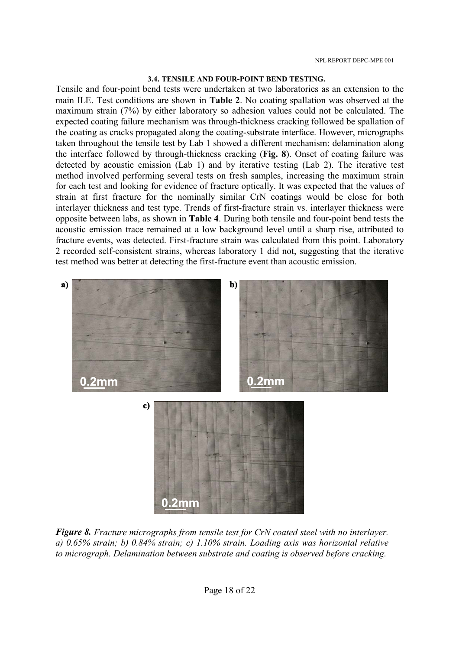#### **3.4. TENSILE AND FOUR-POINT BEND TESTING.**

Tensile and four-point bend tests were undertaken at two laboratories as an extension to the main ILE. Test conditions are shown in **Table 2**. No coating spallation was observed at the maximum strain (7%) by either laboratory so adhesion values could not be calculated. The expected coating failure mechanism was through-thickness cracking followed be spallation of the coating as cracks propagated along the coating-substrate interface. However, micrographs taken throughout the tensile test by Lab 1 showed a different mechanism: delamination along the interface followed by through-thickness cracking (**Fig. 8**). Onset of coating failure was detected by acoustic emission (Lab 1) and by iterative testing (Lab 2). The iterative test method involved performing several tests on fresh samples, increasing the maximum strain for each test and looking for evidence of fracture optically. It was expected that the values of strain at first fracture for the nominally similar CrN coatings would be close for both interlayer thickness and test type. Trends of first-fracture strain vs. interlayer thickness were opposite between labs, as shown in **Table 4**. During both tensile and four-point bend tests the acoustic emission trace remained at a low background level until a sharp rise, attributed to fracture events, was detected. First-fracture strain was calculated from this point. Laboratory 2 recorded self-consistent strains, whereas laboratory 1 did not, suggesting that the iterative test method was better at detecting the first-fracture event than acoustic emission.



*Figure 8. Fracture micrographs from tensile test for CrN coated steel with no interlayer. a) 0.65% strain; b) 0.84% strain; c) 1.10% strain. Loading axis was horizontal relative to micrograph. Delamination between substrate and coating is observed before cracking.*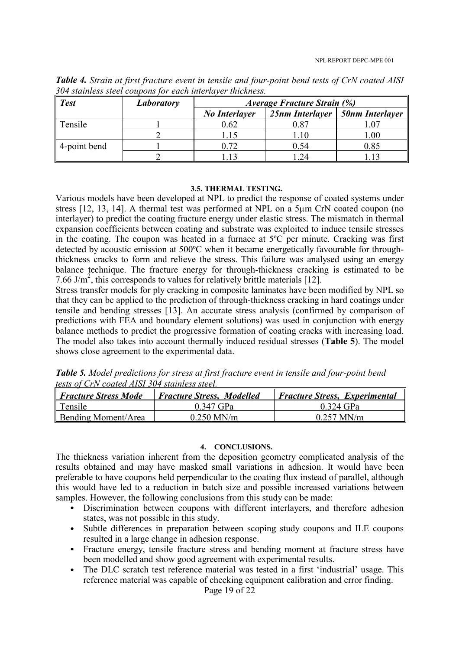| <b>Test</b>              | Laboratory | Average Fracture Strain (%) |          |                                   |  |
|--------------------------|------------|-----------------------------|----------|-----------------------------------|--|
|                          |            | <b>No Interlayer</b>        |          | 25nm Interlayer   50nm Interlayer |  |
| $\parallel$ Tensile      |            | 0.62                        |          |                                   |  |
|                          |            |                             |          | $.00\,$                           |  |
| $\parallel$ 4-point bend |            |                             | $0.54\,$ | 0.85                              |  |
|                          |            |                             |          |                                   |  |

*Table 4. Strain at first fracture event in tensile and four-point bend tests of CrN coated AISI 304 stainless steel coupons for each interlayer thickness.* 

#### **3.5. THERMAL TESTING.**

Various models have been developed at NPL to predict the response of coated systems under stress [12, 13, 14]. A thermal test was performed at NPL on a 5µm CrN coated coupon (no interlayer) to predict the coating fracture energy under elastic stress. The mismatch in thermal expansion coefficients between coating and substrate was exploited to induce tensile stresses in the coating. The coupon was heated in a furnace at 5ºC per minute. Cracking was first detected by acoustic emission at 500ºC when it became energetically favourable for throughthickness cracks to form and relieve the stress. This failure was analysed using an energy balance technique. The fracture energy for through-thickness cracking is estimated to be 7.66 J/m<sup>2</sup>, this corresponds to values for relatively brittle materials [12].

Stress transfer models for ply cracking in composite laminates have been modified by NPL so that they can be applied to the prediction of through-thickness cracking in hard coatings under tensile and bending stresses [13]. An accurate stress analysis (confirmed by comparison of predictions with FEA and boundary element solutions) was used in conjunction with energy balance methods to predict the progressive formation of coating cracks with increasing load. The model also takes into account thermally induced residual stresses (**Table 5**). The model shows close agreement to the experimental data.

*Table 5. Model predictions for stress at first fracture event in tensile and four-point bend tests of CrN coated AISI 304 stainless steel.* 

| <i>Fracture Stress Mode</i> | <b>Fracture Stress, Modelled</b> | <b>Fracture Stress, Experimental</b> |
|-----------------------------|----------------------------------|--------------------------------------|
| $\parallel$ Tensile         | 0.347 GPa                        | 0 324 GPa                            |
| <b>Bending Moment/Area</b>  | $0.250$ MN/m                     | $0.257$ MN/m                         |

### **4. CONCLUSIONS.**

The thickness variation inherent from the deposition geometry complicated analysis of the results obtained and may have masked small variations in adhesion. It would have been preferable to have coupons held perpendicular to the coating flux instead of parallel, although this would have led to a reduction in batch size and possible increased variations between samples. However, the following conclusions from this study can be made:

- Discrimination between coupons with different interlayers, and therefore adhesion states, was not possible in this study.
- Subtle differences in preparation between scoping study coupons and ILE coupons resulted in a large change in adhesion response.
- Fracture energy, tensile fracture stress and bending moment at fracture stress have been modelled and show good agreement with experimental results.
- The DLC scratch test reference material was tested in a first 'industrial' usage. This reference material was capable of checking equipment calibration and error finding.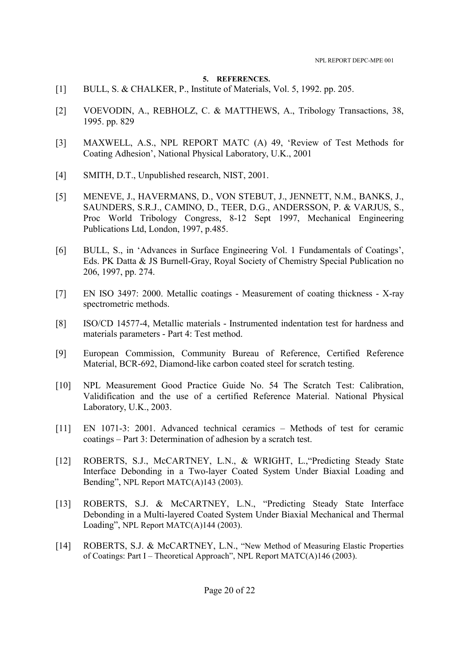#### **5. REFERENCES.**

- [1] BULL, S. & CHALKER, P., Institute of Materials, Vol. 5, 1992, pp. 205.
- [2] VOEVODIN, A., REBHOLZ, C. & MATTHEWS, A., Tribology Transactions, 38, 1995. pp. 829
- [3] MAXWELL, A.S., NPL REPORT MATC (A) 49, 'Review of Test Methods for Coating Adhesion', National Physical Laboratory, U.K., 2001
- [4] SMITH, D.T., Unpublished research, NIST, 2001.
- [5] MENEVE, J., HAVERMANS, D., VON STEBUT, J., JENNETT, N.M., BANKS, J., SAUNDERS, S.R.J., CAMINO, D., TEER, D.G., ANDERSSON, P. & VARJUS, S., Proc World Tribology Congress, 8-12 Sept 1997, Mechanical Engineering Publications Ltd, London, 1997, p.485.
- [6] BULL, S., in 'Advances in Surface Engineering Vol. 1 Fundamentals of Coatings', Eds. PK Datta & JS Burnell-Gray, Royal Society of Chemistry Special Publication no 206, 1997, pp. 274.
- [7] EN ISO 3497: 2000. Metallic coatings Measurement of coating thickness X-ray spectrometric methods.
- [8] ISO/CD 14577-4, Metallic materials Instrumented indentation test for hardness and materials parameters - Part 4: Test method.
- [9] European Commission, Community Bureau of Reference, Certified Reference Material, BCR-692, Diamond-like carbon coated steel for scratch testing.
- [10] NPL Measurement Good Practice Guide No. 54 The Scratch Test: Calibration, Validification and the use of a certified Reference Material. National Physical Laboratory, U.K., 2003.
- [11] EN 1071-3: 2001. Advanced technical ceramics Methods of test for ceramic coatings – Part 3: Determination of adhesion by a scratch test.
- [12] ROBERTS, S.J., McCARTNEY, L.N., & WRIGHT, L., "Predicting Steady State Interface Debonding in a Two-layer Coated System Under Biaxial Loading and Bending", NPL Report MATC(A)143 (2003).
- [13] ROBERTS, S.J. & McCARTNEY, L.N., "Predicting Steady State Interface Debonding in a Multi-layered Coated System Under Biaxial Mechanical and Thermal Loading", NPL Report MATC(A)144 (2003).
- [14] ROBERTS, S.J. & McCARTNEY, L.N., "New Method of Measuring Elastic Properties of Coatings: Part I – Theoretical Approach", NPL Report MATC(A)146 (2003).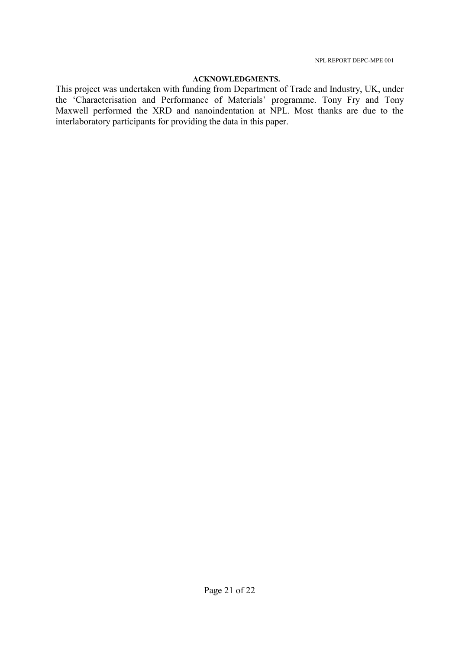### **ACKNOWLEDGMENTS.**

This project was undertaken with funding from Department of Trade and Industry, UK, under the 'Characterisation and Performance of Materials' programme. Tony Fry and Tony Maxwell performed the XRD and nanoindentation at NPL. Most thanks are due to the interlaboratory participants for providing the data in this paper.